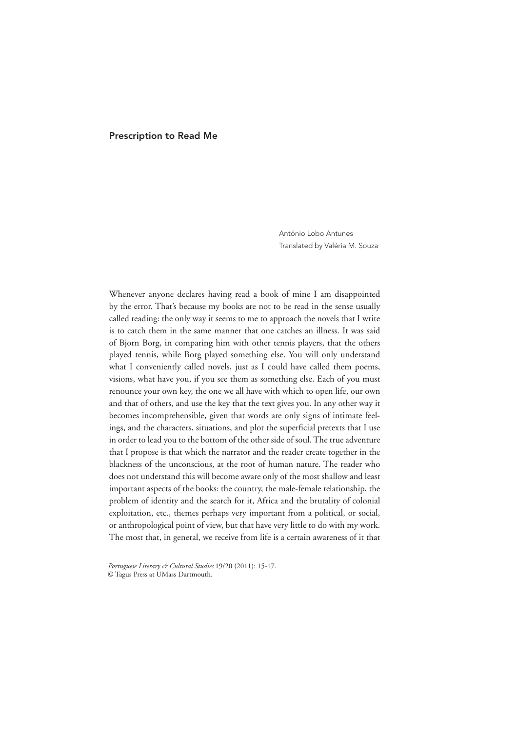## Prescription to Read Me

António Lobo Antunes Translated by Valéria M. Souza

Whenever anyone declares having read a book of mine I am disappointed by the error. That's because my books are not to be read in the sense usually called reading: the only way it seems to me to approach the novels that I write is to catch them in the same manner that one catches an illness. It was said of Bjorn Borg, in comparing him with other tennis players, that the others played tennis, while Borg played something else. You will only understand what I conveniently called novels, just as I could have called them poems, visions, what have you, if you see them as something else. Each of you must renounce your own key, the one we all have with which to open life, our own and that of others, and use the key that the text gives you. In any other way it becomes incomprehensible, given that words are only signs of intimate feelings, and the characters, situations, and plot the superficial pretexts that I use in order to lead you to the bottom of the other side of soul. The true adventure that I propose is that which the narrator and the reader create together in the blackness of the unconscious, at the root of human nature. The reader who does not understand this will become aware only of the most shallow and least important aspects of the books: the country, the male-female relationship, the problem of identity and the search for it, Africa and the brutality of colonial exploitation, etc., themes perhaps very important from a political, or social, or anthropological point of view, but that have very little to do with my work. The most that, in general, we receive from life is a certain awareness of it that

*Portuguese Literary & Cultural Studies* 19/20 (2011): 15-17. © Tagus Press at UMass Dartmouth.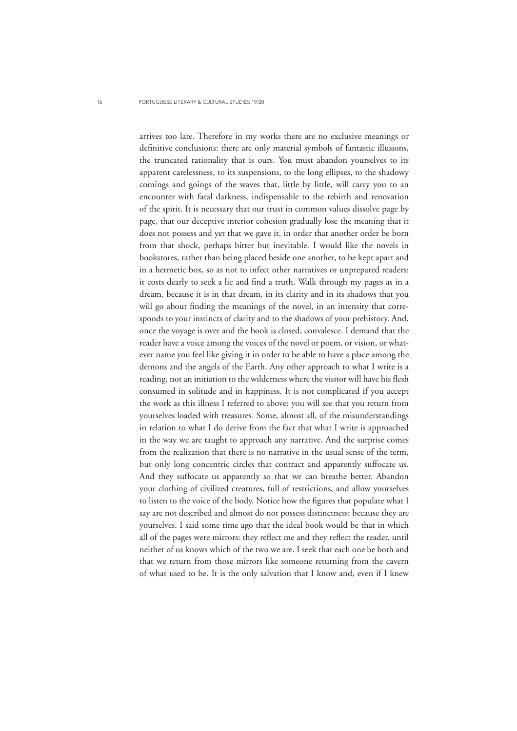arrives too late. Therefore in my works there are no exclusive meanings or definitive conclusions: there are only material symbols of fantastic illusions, the truncated rationality that is ours. You must abandon yourselves to its apparent carelessness, to its suspensions, to the long ellipses, to the shadowy comings and goings of the waves that, little by little, will carry you to an encounter with fatal darkness, indispensable to the rebirth and renovation of the spirit. It is necessary that our trust in common values dissolve page by page, that our deceptive interior cohesion gradually lose the meaning that it does not possess and yet that we gave it, in order that another order be born from that shock, perhaps bitter but inevitable. I would like the novels in bookstores, rather than being placed beside one another, to be kept apart and in a hermetic box, so as not to infect other narratives or unprepared readers: it costs dearly to seek a lie and find a truth. Walk through my pages as in a dream, because it is in that dream, in its clarity and in its shadows that you will go about finding the meanings of the novel, in an intensity that corresponds to your instincts of clarity and to the shadows of your prehistory. And, once the voyage is over and the book is closed, convalesce. I demand that the reader have a voice among the voices of the novel or poem, or vision, or whatever name you feel like giving it in order to be able to have a place among the demons and the angels of the Earth. Any other approach to what I write is a reading, not an initiation to the wilderness where the visitor will have his flesh consumed in solitude and in happiness. It is not complicated if you accept the work as this illness I referred to above: you will see that you return from yourselves loaded with treasures. Some, almost all, of the misunderstandings in relation to what I do derive from the fact that what I write is approached in the way we are taught to approach any narrative. And the surprise comes from the realization that there is no narrative in the usual sense of the term, but only long concentric circles that contract and apparently suffocate us. And they suffocate us apparently so that we can breathe better. Abandon your clothing of civilized creatures, full of restrictions, and allow yourselves to listen to the voice of the body. Notice how the figures that populate what I say are not described and almost do not possess distinctness: because they are yourselves. I said some time ago that the ideal book would be that in which all of the pages were mirrors: they reflect me and they reflect the reader, until neither of us knows which of the two we are. I seek that each one be both and that we return from those mirrors like someone returning from the cavern of what used to be. It is the only salvation that I know and, even if I knew